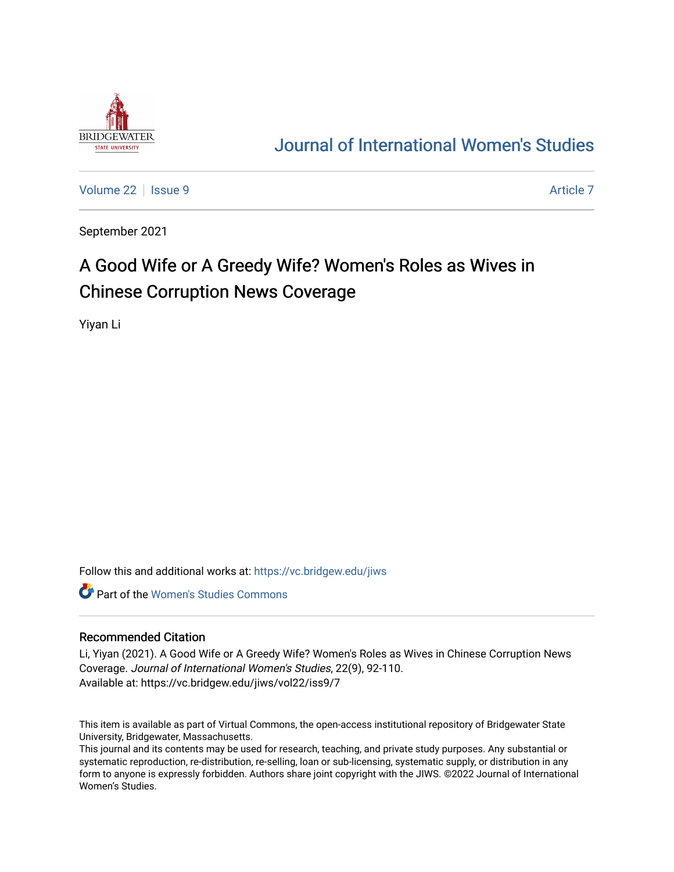

## [Journal of International Women's Studies](https://vc.bridgew.edu/jiws)

[Volume 22](https://vc.bridgew.edu/jiws/vol22) | [Issue 9](https://vc.bridgew.edu/jiws/vol22/iss9) [Article 7](https://vc.bridgew.edu/jiws/vol22/iss9/7) Article 7 Article 7 Article 7 Article 7 Article 7 Article 7

September 2021

# A Good Wife or A Greedy Wife? Women's Roles as Wives in Chinese Corruption News Coverage

Yiyan Li

Follow this and additional works at: [https://vc.bridgew.edu/jiws](https://vc.bridgew.edu/jiws?utm_source=vc.bridgew.edu%2Fjiws%2Fvol22%2Fiss9%2F7&utm_medium=PDF&utm_campaign=PDFCoverPages)

**C** Part of the Women's Studies Commons

#### Recommended Citation

Li, Yiyan (2021). A Good Wife or A Greedy Wife? Women's Roles as Wives in Chinese Corruption News Coverage. Journal of International Women's Studies, 22(9), 92-110. Available at: https://vc.bridgew.edu/jiws/vol22/iss9/7

This item is available as part of Virtual Commons, the open-access institutional repository of Bridgewater State University, Bridgewater, Massachusetts.

This journal and its contents may be used for research, teaching, and private study purposes. Any substantial or systematic reproduction, re-distribution, re-selling, loan or sub-licensing, systematic supply, or distribution in any form to anyone is expressly forbidden. Authors share joint copyright with the JIWS. ©2022 Journal of International Women's Studies.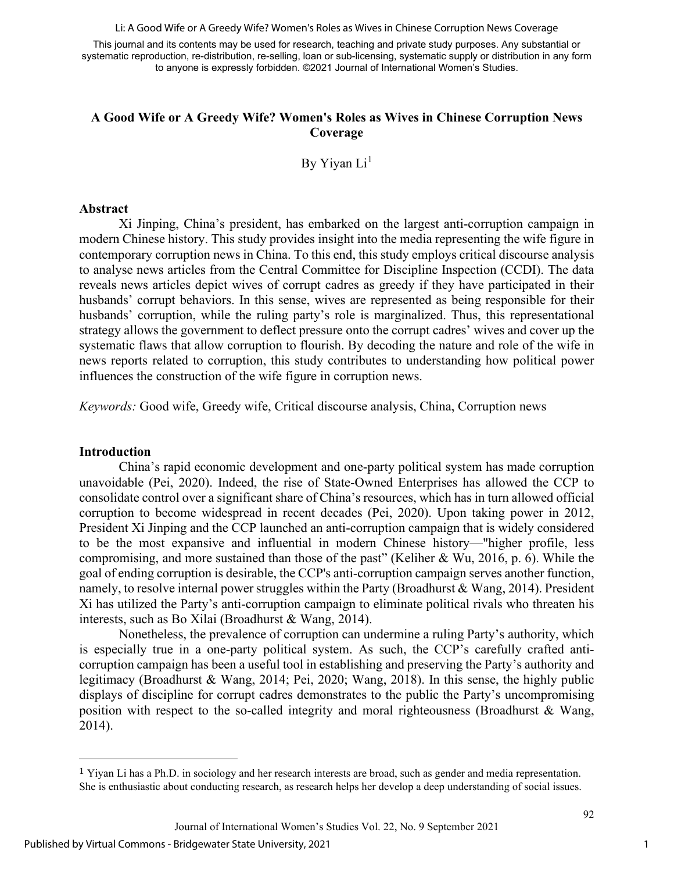Li: A Good Wife or A Greedy Wife? Women's Roles as Wives in Chinese Corruption News Coverage

This journal and its contents may be used for research, teaching and private study purposes. Any substantial or systematic reproduction, re-distribution, re-selling, loan or sub-licensing, systematic supply or distribution in any form to anyone is expressly forbidden. ©2021 Journal of International Women's Studies.

## **A Good Wife or A Greedy Wife? Women's Roles as Wives in Chinese Corruption News Coverage**

By Yiyan  $Li<sup>1</sup>$  $Li<sup>1</sup>$  $Li<sup>1</sup>$ 

#### **Abstract**

Xi Jinping, China's president, has embarked on the largest anti-corruption campaign in modern Chinese history. This study provides insight into the media representing the wife figure in contemporary corruption news in China. To this end, this study employs critical discourse analysis to analyse news articles from the Central Committee for Discipline Inspection (CCDI). The data reveals news articles depict wives of corrupt cadres as greedy if they have participated in their husbands' corrupt behaviors. In this sense, wives are represented as being responsible for their husbands' corruption, while the ruling party's role is marginalized. Thus, this representational strategy allows the government to deflect pressure onto the corrupt cadres' wives and cover up the systematic flaws that allow corruption to flourish. By decoding the nature and role of the wife in news reports related to corruption, this study contributes to understanding how political power influences the construction of the wife figure in corruption news.

*Keywords:* Good wife, Greedy wife, Critical discourse analysis, China, Corruption news

#### **Introduction**

China's rapid economic development and one-party political system has made corruption unavoidable (Pei, 2020). Indeed, the rise of State-Owned Enterprises has allowed the CCP to consolidate control over a significant share of China's resources, which has in turn allowed official corruption to become widespread in recent decades (Pei, 2020). Upon taking power in 2012, President Xi Jinping and the CCP launched an anti-corruption campaign that is widely considered to be the most expansive and influential in modern Chinese history—"higher profile, less compromising, and more sustained than those of the past" (Keliher & Wu, 2016, p. 6). While the goal of ending corruption is desirable, the CCP's anti-corruption campaign serves another function, namely, to resolve internal power struggles within the Party (Broadhurst & Wang, 2014). President Xi has utilized the Party's anti-corruption campaign to eliminate political rivals who threaten his interests, such as Bo Xilai (Broadhurst & Wang, 2014).

Nonetheless, the prevalence of corruption can undermine a ruling Party's authority, which is especially true in a one-party political system. As such, the CCP's carefully crafted anticorruption campaign has been a useful tool in establishing and preserving the Party's authority and legitimacy (Broadhurst & Wang, 2014; Pei, 2020; Wang, 2018). In this sense, the highly public displays of discipline for corrupt cadres demonstrates to the public the Party's uncompromising position with respect to the so-called integrity and moral righteousness (Broadhurst & Wang, 2014).

1

<span id="page-1-0"></span> $1$  Yiyan Li has a Ph.D. in sociology and her research interests are broad, such as gender and media representation. She is enthusiastic about conducting research, as research helps her develop a deep understanding of social issues.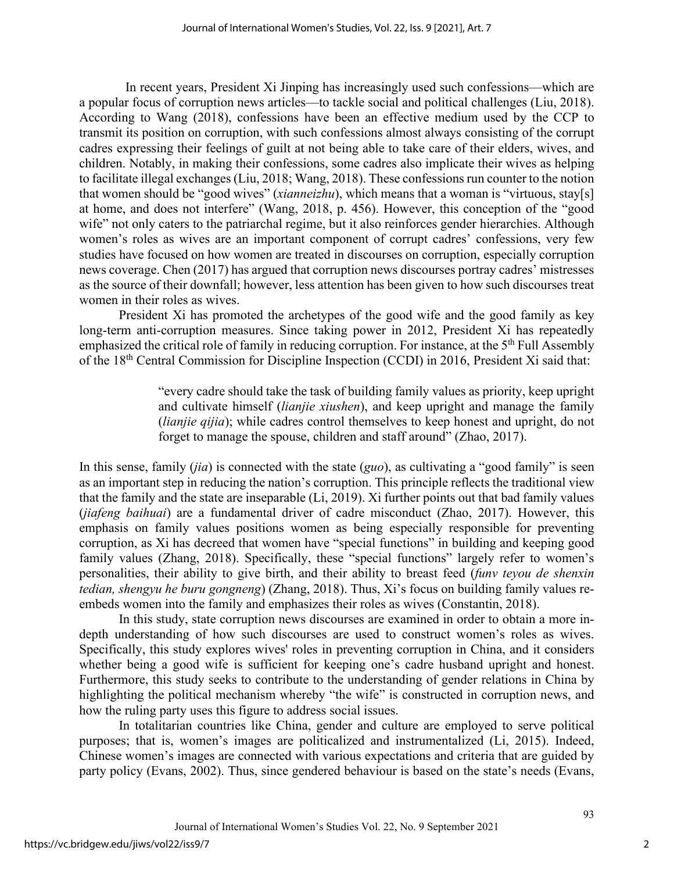In recent years, President Xi Jinping has increasingly used such confessions—which are a popular focus of corruption news articles—to tackle social and political challenges (Liu, 2018). According to Wang (2018), confessions have been an effective medium used by the CCP to transmit its position on corruption, with such confessions almost always consisting of the corrupt cadres expressing their feelings of guilt at not being able to take care of their elders, wives, and children. Notably, in making their confessions, some cadres also implicate their wives as helping to facilitate illegal exchanges (Liu, 2018; Wang, 2018). These confessions run counter to the notion that women should be "good wives" (*xianneizhu*), which means that a woman is "virtuous, stay[s] at home, and does not interfere" (Wang, 2018, p. 456). However, this conception of the "good wife" not only caters to the patriarchal regime, but it also reinforces gender hierarchies. Although women's roles as wives are an important component of corrupt cadres' confessions, very few studies have focused on how women are treated in discourses on corruption, especially corruption news coverage. Chen (2017) has argued that corruption news discourses portray cadres' mistresses as the source of their downfall; however, less attention has been given to how such discourses treat women in their roles as wives.

President Xi has promoted the archetypes of the good wife and the good family as key long-term anti-corruption measures. Since taking power in 2012, President Xi has repeatedly emphasized the critical role of family in reducing corruption. For instance, at the  $5<sup>th</sup>$  Full Assembly of the 18th Central Commission for Discipline Inspection (CCDI) in 2016, President Xi said that:

> "every cadre should take the task of building family values as priority, keep upright and cultivate himself (*lianjie xiushen*), and keep upright and manage the family (*lianjie qijia*); while cadres control themselves to keep honest and upright, do not forget to manage the spouse, children and staff around" (Zhao, 2017).

In this sense, family (*jia*) is connected with the state (*guo*), as cultivating a "good family" is seen as an important step in reducing the nation's corruption. This principle reflects the traditional view that the family and the state are inseparable (Li, 2019). Xi further points out that bad family values (*jiafeng baihuai*) are a fundamental driver of cadre misconduct (Zhao, 2017). However, this emphasis on family values positions women as being especially responsible for preventing corruption, as Xi has decreed that women have "special functions" in building and keeping good family values (Zhang, 2018). Specifically, these "special functions" largely refer to women's personalities, their ability to give birth, and their ability to breast feed (*funv teyou de shenxin tedian, shengyu he buru gongneng*) (Zhang, 2018). Thus, Xi's focus on building family values reembeds women into the family and emphasizes their roles as wives (Constantin, 2018).

In this study, state corruption news discourses are examined in order to obtain a more indepth understanding of how such discourses are used to construct women's roles as wives. Specifically, this study explores wives' roles in preventing corruption in China, and it considers whether being a good wife is sufficient for keeping one's cadre husband upright and honest. Furthermore, this study seeks to contribute to the understanding of gender relations in China by highlighting the political mechanism whereby "the wife" is constructed in corruption news, and how the ruling party uses this figure to address social issues.

In totalitarian countries like China, gender and culture are employed to serve political purposes; that is, women's images are politicalized and instrumentalized (Li, 2015). Indeed, Chinese women's images are connected with various expectations and criteria that are guided by party policy (Evans, 2002). Thus, since gendered behaviour is based on the state's needs (Evans,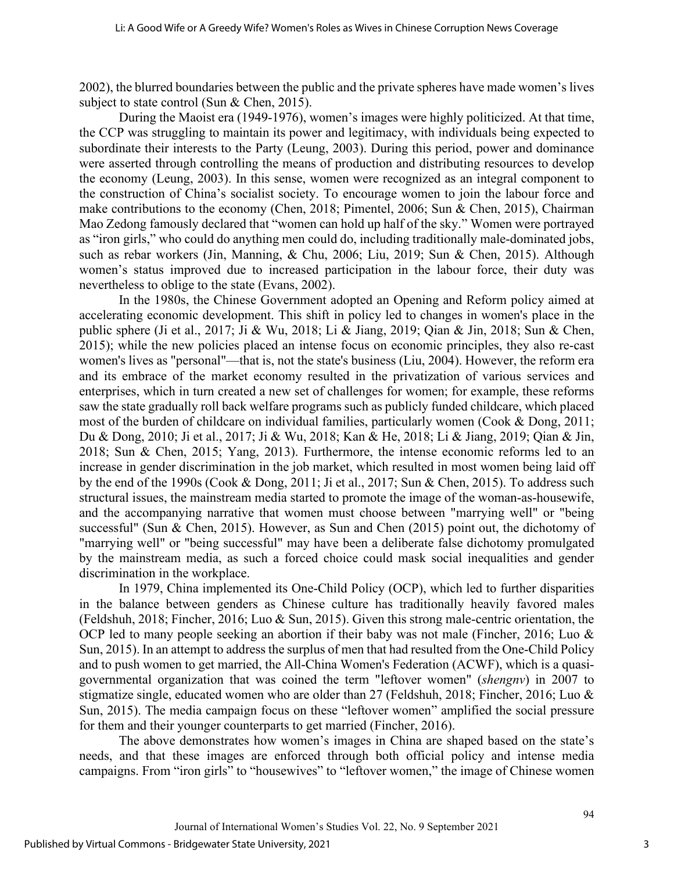2002), the blurred boundaries between the public and the private spheres have made women's lives subject to state control (Sun & Chen, 2015).

During the Maoist era (1949-1976), women's images were highly politicized. At that time, the CCP was struggling to maintain its power and legitimacy, with individuals being expected to subordinate their interests to the Party (Leung, 2003). During this period, power and dominance were asserted through controlling the means of production and distributing resources to develop the economy (Leung, 2003). In this sense, women were recognized as an integral component to the construction of China's socialist society. To encourage women to join the labour force and make contributions to the economy (Chen, 2018; Pimentel, 2006; Sun & Chen, 2015), Chairman Mao Zedong famously declared that "women can hold up half of the sky." Women were portrayed as "iron girls," who could do anything men could do, including traditionally male-dominated jobs, such as rebar workers (Jin, Manning, & Chu, 2006; Liu, 2019; Sun & Chen, 2015). Although women's status improved due to increased participation in the labour force, their duty was nevertheless to oblige to the state (Evans, 2002).

In the 1980s, the Chinese Government adopted an Opening and Reform policy aimed at accelerating economic development. This shift in policy led to changes in women's place in the public sphere (Ji et al., 2017; Ji & Wu, 2018; Li & Jiang, 2019; Qian & Jin, 2018; Sun & Chen, 2015); while the new policies placed an intense focus on economic principles, they also re-cast women's lives as "personal"—that is, not the state's business (Liu, 2004). However, the reform era and its embrace of the market economy resulted in the privatization of various services and enterprises, which in turn created a new set of challenges for women; for example, these reforms saw the state gradually roll back welfare programs such as publicly funded childcare, which placed most of the burden of childcare on individual families, particularly women (Cook & Dong, 2011; Du & Dong, 2010; Ji et al., 2017; Ji & Wu, 2018; Kan & He, 2018; Li & Jiang, 2019; Qian & Jin, 2018; Sun & Chen, 2015; Yang, 2013). Furthermore, the intense economic reforms led to an increase in gender discrimination in the job market, which resulted in most women being laid off by the end of the 1990s (Cook & Dong, 2011; Ji et al., 2017; Sun & Chen, 2015). To address such structural issues, the mainstream media started to promote the image of the woman-as-housewife, and the accompanying narrative that women must choose between "marrying well" or "being successful" (Sun & Chen, 2015). However, as Sun and Chen (2015) point out, the dichotomy of "marrying well" or "being successful" may have been a deliberate false dichotomy promulgated by the mainstream media, as such a forced choice could mask social inequalities and gender discrimination in the workplace.

In 1979, China implemented its One-Child Policy (OCP), which led to further disparities in the balance between genders as Chinese culture has traditionally heavily favored males (Feldshuh, 2018; Fincher, 2016; Luo & Sun, 2015). Given this strong male-centric orientation, the OCP led to many people seeking an abortion if their baby was not male (Fincher, 2016; Luo & Sun, 2015). In an attempt to address the surplus of men that had resulted from the One-Child Policy and to push women to get married, the All-China Women's Federation (ACWF), which is a quasigovernmental organization that was coined the term "leftover women" (*shengnv*) in 2007 to stigmatize single, educated women who are older than 27 (Feldshuh, 2018; Fincher, 2016; Luo & Sun, 2015). The media campaign focus on these "leftover women" amplified the social pressure for them and their younger counterparts to get married (Fincher, 2016).

The above demonstrates how women's images in China are shaped based on the state's needs, and that these images are enforced through both official policy and intense media campaigns. From "iron girls" to "housewives" to "leftover women," the image of Chinese women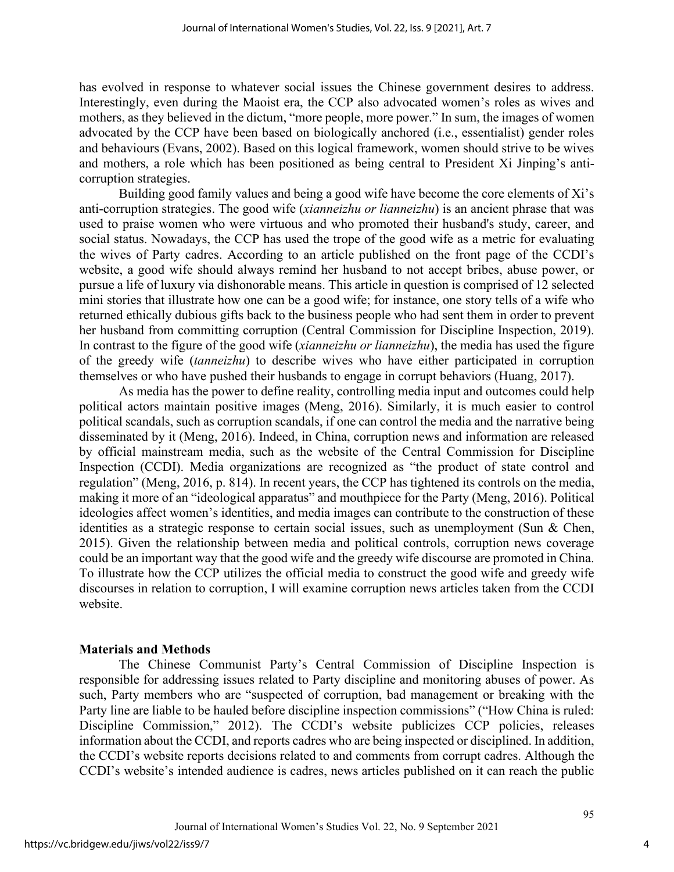has evolved in response to whatever social issues the Chinese government desires to address. Interestingly, even during the Maoist era, the CCP also advocated women's roles as wives and mothers, as they believed in the dictum, "more people, more power." In sum, the images of women advocated by the CCP have been based on biologically anchored (i.e., essentialist) gender roles and behaviours (Evans, 2002). Based on this logical framework, women should strive to be wives and mothers, a role which has been positioned as being central to President Xi Jinping's anticorruption strategies.

Building good family values and being a good wife have become the core elements of Xi's anti-corruption strategies. The good wife (*xianneizhu or lianneizhu*) is an ancient phrase that was used to praise women who were virtuous and who promoted their husband's study, career, and social status. Nowadays, the CCP has used the trope of the good wife as a metric for evaluating the wives of Party cadres. According to an article published on the front page of the CCDI's website, a good wife should always remind her husband to not accept bribes, abuse power, or pursue a life of luxury via dishonorable means. This article in question is comprised of 12 selected mini stories that illustrate how one can be a good wife; for instance, one story tells of a wife who returned ethically dubious gifts back to the business people who had sent them in order to prevent her husband from committing corruption (Central Commission for Discipline Inspection, 2019). In contrast to the figure of the good wife (*xianneizhu or lianneizhu*), the media has used the figure of the greedy wife (*tanneizhu*) to describe wives who have either participated in corruption themselves or who have pushed their husbands to engage in corrupt behaviors (Huang, 2017).

As media has the power to define reality, controlling media input and outcomes could help political actors maintain positive images (Meng, 2016). Similarly, it is much easier to control political scandals, such as corruption scandals, if one can control the media and the narrative being disseminated by it (Meng, 2016). Indeed, in China, corruption news and information are released by official mainstream media, such as the website of the Central Commission for Discipline Inspection (CCDI). Media organizations are recognized as "the product of state control and regulation" (Meng, 2016, p. 814). In recent years, the CCP has tightened its controls on the media, making it more of an "ideological apparatus" and mouthpiece for the Party (Meng, 2016). Political ideologies affect women's identities, and media images can contribute to the construction of these identities as a strategic response to certain social issues, such as unemployment (Sun & Chen, 2015). Given the relationship between media and political controls, corruption news coverage could be an important way that the good wife and the greedy wife discourse are promoted in China. To illustrate how the CCP utilizes the official media to construct the good wife and greedy wife discourses in relation to corruption, I will examine corruption news articles taken from the CCDI website.

## **Materials and Methods**

The Chinese Communist Party's Central Commission of Discipline Inspection is responsible for addressing issues related to Party discipline and monitoring abuses of power. As such, Party members who are "suspected of corruption, bad management or breaking with the Party line are liable to be hauled before discipline inspection commissions" ("How China is ruled: Discipline Commission," 2012). The CCDI's website publicizes CCP policies, releases information about the CCDI, and reports cadres who are being inspected or disciplined. In addition, the CCDI's website reports decisions related to and comments from corrupt cadres. Although the CCDI's website's intended audience is cadres, news articles published on it can reach the public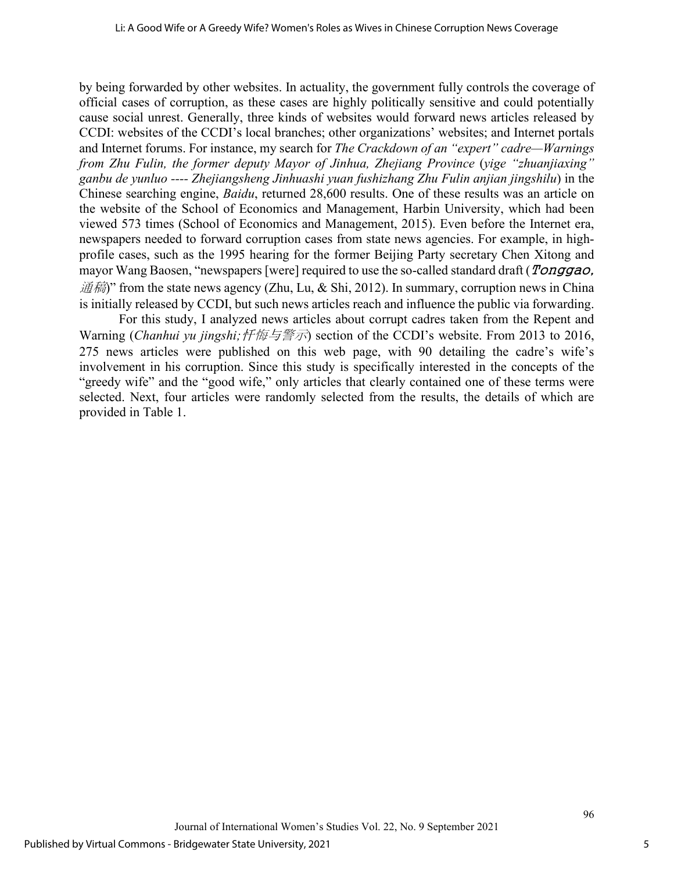by being forwarded by other websites. In actuality, the government fully controls the coverage of official cases of corruption, as these cases are highly politically sensitive and could potentially cause social unrest. Generally, three kinds of websites would forward news articles released by CCDI: websites of the CCDI's local branches; other organizations' websites; and Internet portals and Internet forums. For instance, my search for *The Crackdown of an "expert" cadre—Warnings from Zhu Fulin, the former deputy Mayor of Jinhua, Zhejiang Province* (*yige "zhuanjiaxing" ganbu de yunluo ---- Zhejiangsheng Jinhuashi yuan fushizhang Zhu Fulin anjian jingshilu*) in the Chinese searching engine, *Baidu*, returned 28,600 results. One of these results was an article on the website of the School of Economics and Management, Harbin University, which had been viewed 573 times (School of Economics and Management, 2015). Even before the Internet era, newspapers needed to forward corruption cases from state news agencies. For example, in highprofile cases, such as the 1995 hearing for the former Beijing Party secretary Chen Xitong and mayor Wang Baosen, "newspapers [were] required to use the so-called standard draft (*Tonggao*, 通稿)" from the state news agency (Zhu, Lu, & Shi, 2012). In summary, corruption news in China is initially released by CCDI, but such news articles reach and influence the public via forwarding.

For this study, I analyzed news articles about corrupt cadres taken from the Repent and Warning (*Chanhui vu jingshi;忏悔与警示*) section of the CCDI's website. From 2013 to 2016, 275 news articles were published on this web page, with 90 detailing the cadre's wife's involvement in his corruption. Since this study is specifically interested in the concepts of the "greedy wife" and the "good wife," only articles that clearly contained one of these terms were selected. Next, four articles were randomly selected from the results, the details of which are provided in Table 1.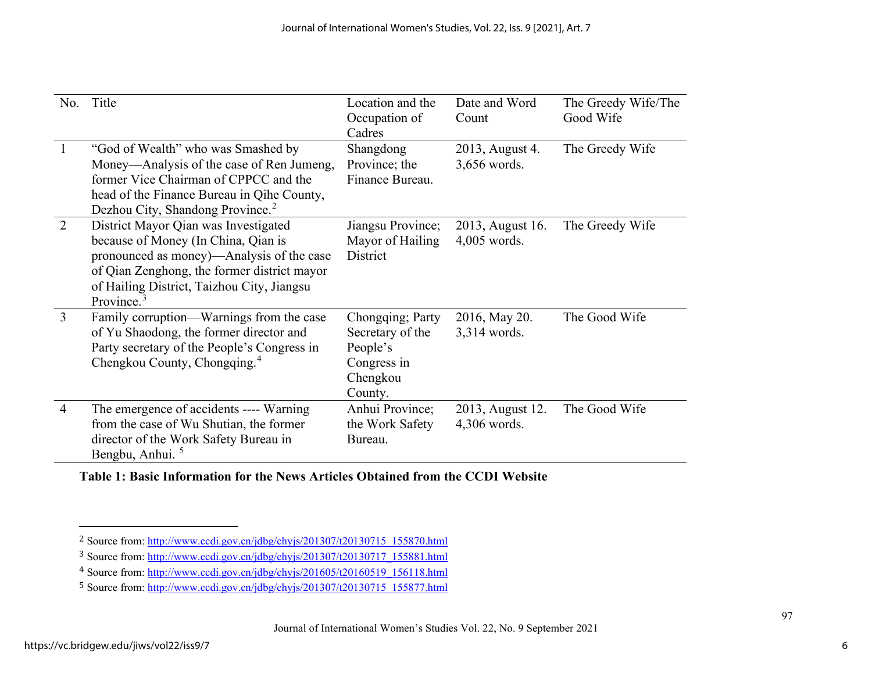<span id="page-6-3"></span><span id="page-6-2"></span><span id="page-6-1"></span><span id="page-6-0"></span>

| No.            | Title                                                                                                                                                                                                                                  | Location and the<br>Occupation of<br>Cadres                                            | Date and Word<br>Count             | The Greedy Wife/The<br>Good Wife |
|----------------|----------------------------------------------------------------------------------------------------------------------------------------------------------------------------------------------------------------------------------------|----------------------------------------------------------------------------------------|------------------------------------|----------------------------------|
| $\overline{1}$ | "God of Wealth" who was Smashed by<br>Money—Analysis of the case of Ren Jumeng,<br>former Vice Chairman of CPPCC and the<br>head of the Finance Bureau in Qihe County,<br>Dezhou City, Shandong Province. <sup>2</sup>                 | Shangdong<br>Province; the<br>Finance Bureau.                                          | 2013, August 4.<br>3,656 words.    | The Greedy Wife                  |
| 2              | District Mayor Qian was Investigated<br>because of Money (In China, Qian is<br>pronounced as money)—Analysis of the case<br>of Qian Zenghong, the former district mayor<br>of Hailing District, Taizhou City, Jiangsu<br>Province. $3$ | Jiangsu Province;<br>Mayor of Hailing<br>District                                      | 2013, August 16.<br>$4,005$ words. | The Greedy Wife                  |
| 3              | Family corruption—Warnings from the case<br>of Yu Shaodong, the former director and<br>Party secretary of the People's Congress in<br>Chengkou County, Chongqing. <sup>4</sup>                                                         | Chongqing; Party<br>Secretary of the<br>People's<br>Congress in<br>Chengkou<br>County. | 2016, May 20.<br>3,314 words.      | The Good Wife                    |
| $\overline{4}$ | The emergence of accidents ---- Warning<br>from the case of Wu Shutian, the former<br>director of the Work Safety Bureau in<br>Bengbu, Anhui. <sup>5</sup>                                                                             | Anhui Province;<br>the Work Safety<br>Bureau.                                          | 2013, August 12.<br>4,306 words.   | The Good Wife                    |

**Table 1: Basic Information for the News Articles Obtained from the CCDI Website**

<sup>&</sup>lt;sup>2</sup> Source from: [http://www.ccdi.gov.cn/jdbg/chyjs/201307/t20130715\\_155870.html](http://www.ccdi.gov.cn/jdbg/chyjs/201307/t20130715_155870.html)

<sup>3</sup> Source from: [http://www.ccdi.gov.cn/jdbg/chyjs/201307/t20130717\\_155881.html](http://www.ccdi.gov.cn/jdbg/chyjs/201307/t20130717_155881.html)

<sup>4</sup> Source from: [http://www.ccdi.gov.cn/jdbg/chyjs/201605/t20160519\\_156118.html](http://www.ccdi.gov.cn/jdbg/chyjs/201605/t20160519_156118.html)

<sup>5</sup> Source from: [http://www.ccdi.gov.cn/jdbg/chyjs/201307/t20130715\\_155877.html](http://www.ccdi.gov.cn/jdbg/chyjs/201307/t20130715_155877.html)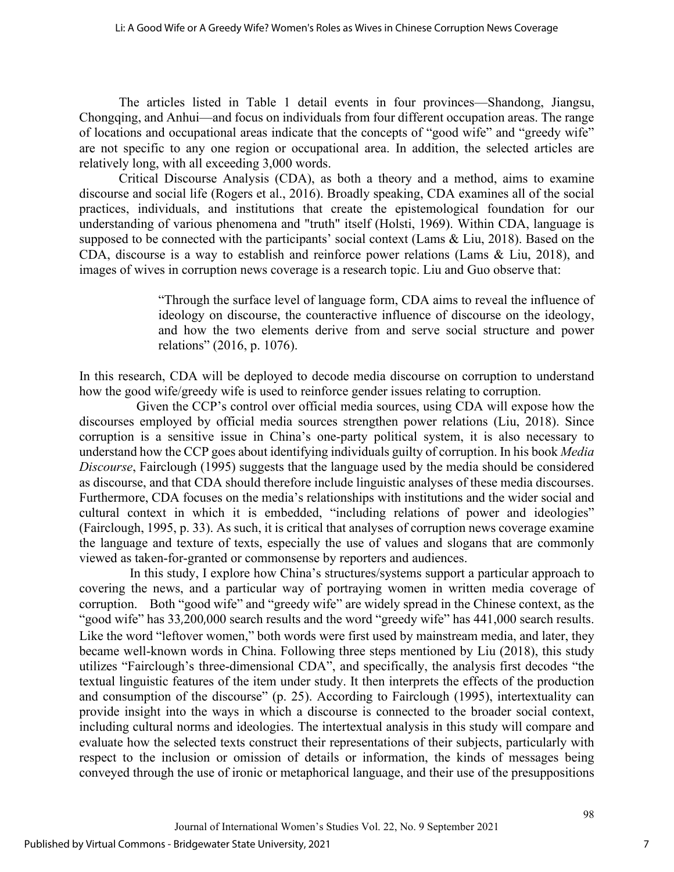The articles listed in Table 1 detail events in four provinces—Shandong, Jiangsu, Chongqing, and Anhui—and focus on individuals from four different occupation areas. The range of locations and occupational areas indicate that the concepts of "good wife" and "greedy wife" are not specific to any one region or occupational area. In addition, the selected articles are relatively long, with all exceeding 3,000 words.

Critical Discourse Analysis (CDA), as both a theory and a method, aims to examine discourse and social life (Rogers et al., 2016). Broadly speaking, CDA examines all of the social practices, individuals, and institutions that create the epistemological foundation for our understanding of various phenomena and "truth" itself (Holsti, 1969). Within CDA, language is supposed to be connected with the participants' social context (Lams & Liu, 2018). Based on the CDA, discourse is a way to establish and reinforce power relations (Lams & Liu, 2018), and images of wives in corruption news coverage is a research topic. Liu and Guo observe that:

> "Through the surface level of language form, CDA aims to reveal the influence of ideology on discourse, the counteractive influence of discourse on the ideology, and how the two elements derive from and serve social structure and power relations" (2016, p. 1076).

In this research, CDA will be deployed to decode media discourse on corruption to understand how the good wife/greedy wife is used to reinforce gender issues relating to corruption.

 Given the CCP's control over official media sources, using CDA will expose how the discourses employed by official media sources strengthen power relations (Liu, 2018). Since corruption is a sensitive issue in China's one-party political system, it is also necessary to understand how the CCP goes about identifying individuals guilty of corruption. In his book *Media Discourse*, Fairclough (1995) suggests that the language used by the media should be considered as discourse, and that CDA should therefore include linguistic analyses of these media discourses. Furthermore, CDA focuses on the media's relationships with institutions and the wider social and cultural context in which it is embedded, "including relations of power and ideologies" (Fairclough, 1995, p. 33). As such, it is critical that analyses of corruption news coverage examine the language and texture of texts, especially the use of values and slogans that are commonly viewed as taken-for-granted or commonsense by reporters and audiences.

In this study, I explore how China's structures/systems support a particular approach to covering the news, and a particular way of portraying women in written media coverage of corruption. Both "good wife" and "greedy wife" are widely spread in the Chinese context, as the "good wife" has 33,200,000 search results and the word "greedy wife" has 441,000 search results. Like the word "leftover women," both words were first used by mainstream media, and later, they became well-known words in China. Following three steps mentioned by Liu (2018), this study utilizes "Fairclough's three-dimensional CDA", and specifically, the analysis first decodes "the textual linguistic features of the item under study. It then interprets the effects of the production and consumption of the discourse" (p. 25). According to Fairclough (1995), intertextuality can provide insight into the ways in which a discourse is connected to the broader social context, including cultural norms and ideologies. The intertextual analysis in this study will compare and evaluate how the selected texts construct their representations of their subjects, particularly with respect to the inclusion or omission of details or information, the kinds of messages being conveyed through the use of ironic or metaphorical language, and their use of the presuppositions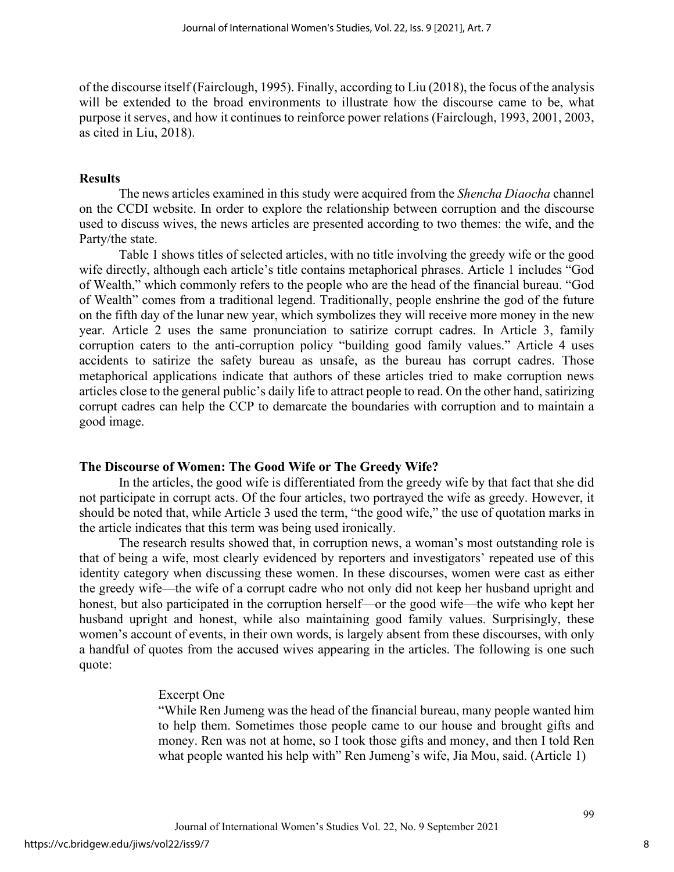of the discourse itself (Fairclough, 1995). Finally, according to Liu (2018), the focus of the analysis will be extended to the broad environments to illustrate how the discourse came to be, what purpose it serves, and how it continues to reinforce power relations (Fairclough, 1993, 2001, 2003, as cited in Liu, 2018).

#### **Results**

The news articles examined in this study were acquired from the *Shencha Diaocha* channel on the CCDI website. In order to explore the relationship between corruption and the discourse used to discuss wives, the news articles are presented according to two themes: the wife, and the Party/the state.

Table 1 shows titles of selected articles, with no title involving the greedy wife or the good wife directly, although each article's title contains metaphorical phrases. Article 1 includes "God of Wealth," which commonly refers to the people who are the head of the financial bureau. "God of Wealth" comes from a traditional legend. Traditionally, people enshrine the god of the future on the fifth day of the lunar new year, which symbolizes they will receive more money in the new year. Article 2 uses the same pronunciation to satirize corrupt cadres. In Article 3, family corruption caters to the anti-corruption policy "building good family values." Article 4 uses accidents to satirize the safety bureau as unsafe, as the bureau has corrupt cadres. Those metaphorical applications indicate that authors of these articles tried to make corruption news articles close to the general public's daily life to attract people to read. On the other hand, satirizing corrupt cadres can help the CCP to demarcate the boundaries with corruption and to maintain a good image.

#### **The Discourse of Women: The Good Wife or The Greedy Wife?**

In the articles, the good wife is differentiated from the greedy wife by that fact that she did not participate in corrupt acts. Of the four articles, two portrayed the wife as greedy. However, it should be noted that, while Article 3 used the term, "the good wife," the use of quotation marks in the article indicates that this term was being used ironically.

The research results showed that, in corruption news, a woman's most outstanding role is that of being a wife, most clearly evidenced by reporters and investigators' repeated use of this identity category when discussing these women. In these discourses, women were cast as either the greedy wife—the wife of a corrupt cadre who not only did not keep her husband upright and honest, but also participated in the corruption herself—or the good wife—the wife who kept her husband upright and honest, while also maintaining good family values. Surprisingly, these women's account of events, in their own words, is largely absent from these discourses, with only a handful of quotes from the accused wives appearing in the articles. The following is one such quote:

#### Excerpt One

"While Ren Jumeng was the head of the financial bureau, many people wanted him to help them. Sometimes those people came to our house and brought gifts and money. Ren was not at home, so I took those gifts and money, and then I told Ren what people wanted his help with" Ren Jumeng's wife, Jia Mou, said. (Article 1)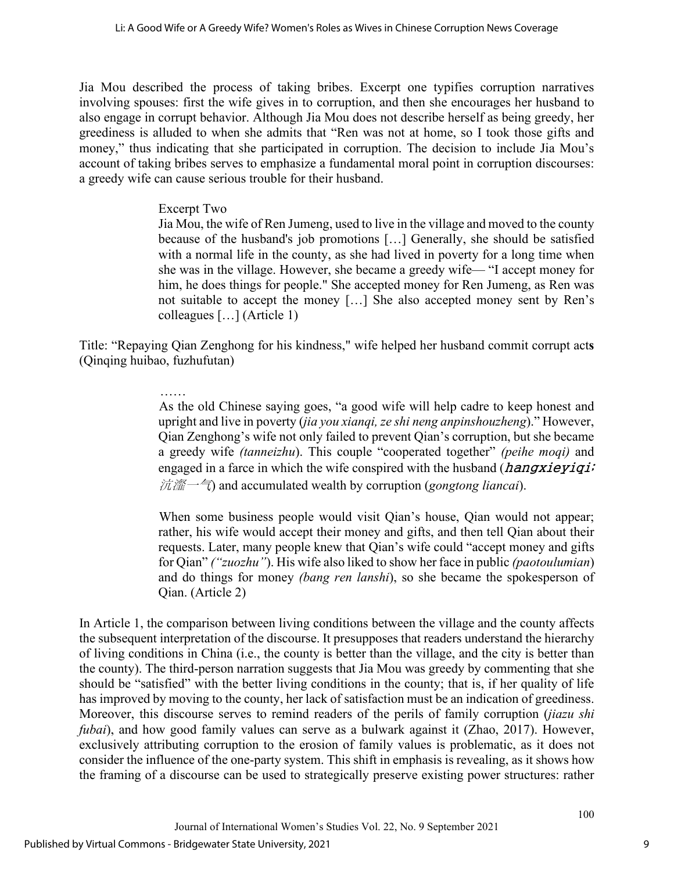Jia Mou described the process of taking bribes. Excerpt one typifies corruption narratives involving spouses: first the wife gives in to corruption, and then she encourages her husband to also engage in corrupt behavior. Although Jia Mou does not describe herself as being greedy, her greediness is alluded to when she admits that "Ren was not at home, so I took those gifts and money," thus indicating that she participated in corruption. The decision to include Jia Mou's account of taking bribes serves to emphasize a fundamental moral point in corruption discourses: a greedy wife can cause serious trouble for their husband.

## Excerpt Two

Jia Mou, the wife of Ren Jumeng, used to live in the village and moved to the county because of the husband's job promotions […] Generally, she should be satisfied with a normal life in the county, as she had lived in poverty for a long time when she was in the village. However, she became a greedy wife— "I accept money for him, he does things for people." She accepted money for Ren Jumeng, as Ren was not suitable to accept the money […] She also accepted money sent by Ren's colleagues […] (Article 1)

Title: "Repaying Qian Zenghong for his kindness," wife helped her husband commit corrupt act**s** (Qinqing huibao, fuzhufutan)

## ……

As the old Chinese saying goes, "a good wife will help cadre to keep honest and upright and live in poverty (*jia you xianqi, ze shi neng anpinshouzheng*)." However, Qian Zenghong's wife not only failed to prevent Qian's corruption, but she became a greedy wife *(tanneizhu*). This couple "cooperated together" *(peihe moqi)* and engaged in a farce in which the wife conspired with the husband  $(hangxieyiqi;$ 沆瀣一气) and accumulated wealth by corruption (*gongtong liancai*).

When some business people would visit Qian's house, Qian would not appear; rather, his wife would accept their money and gifts, and then tell Qian about their requests. Later, many people knew that Qian's wife could "accept money and gifts for Qian" *("zuozhu"*). His wife also liked to show her face in public *(paotoulumian*) and do things for money *(bang ren lanshi*), so she became the spokesperson of Qian. (Article 2)

In Article 1, the comparison between living conditions between the village and the county affects the subsequent interpretation of the discourse. It presupposes that readers understand the hierarchy of living conditions in China (i.e., the county is better than the village, and the city is better than the county). The third-person narration suggests that Jia Mou was greedy by commenting that she should be "satisfied" with the better living conditions in the county; that is, if her quality of life has improved by moving to the county, her lack of satisfaction must be an indication of greediness. Moreover, this discourse serves to remind readers of the perils of family corruption (*jiazu shi fubai*), and how good family values can serve as a bulwark against it (Zhao, 2017). However, exclusively attributing corruption to the erosion of family values is problematic, as it does not consider the influence of the one-party system. This shift in emphasis is revealing, as it shows how the framing of a discourse can be used to strategically preserve existing power structures: rather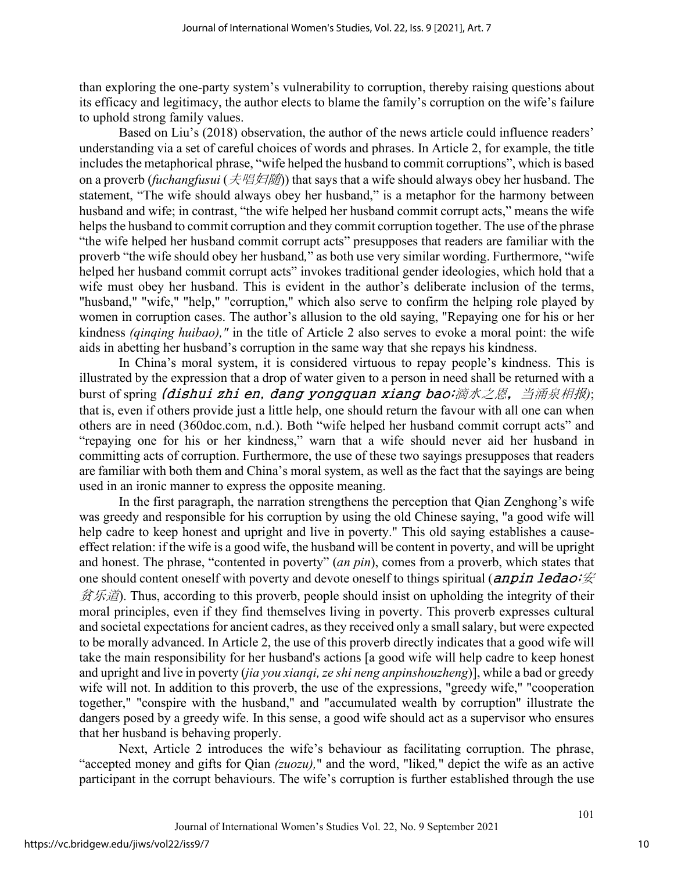than exploring the one-party system's vulnerability to corruption, thereby raising questions about its efficacy and legitimacy, the author elects to blame the family's corruption on the wife's failure to uphold strong family values.

Based on Liu's (2018) observation, the author of the news article could influence readers' understanding via a set of careful choices of words and phrases. In Article 2, for example, the title includes the metaphorical phrase, "wife helped the husband to commit corruptions", which is based on a proverb (*fuchangfusui* (夫唱妇随)) that says that a wife should always obey her husband. The statement, "The wife should always obey her husband," is a metaphor for the harmony between husband and wife; in contrast, "the wife helped her husband commit corrupt acts," means the wife helps the husband to commit corruption and they commit corruption together. The use of the phrase "the wife helped her husband commit corrupt acts" presupposes that readers are familiar with the proverb "the wife should obey her husband*,*" as both use very similar wording. Furthermore, "wife helped her husband commit corrupt acts" invokes traditional gender ideologies, which hold that a wife must obey her husband. This is evident in the author's deliberate inclusion of the terms, "husband," "wife," "help," "corruption," which also serve to confirm the helping role played by women in corruption cases. The author's allusion to the old saying, "Repaying one for his or her kindness *(qinqing huibao),"* in the title of Article 2 also serves to evoke a moral point: the wife aids in abetting her husband's corruption in the same way that she repays his kindness.

In China's moral system, it is considered virtuous to repay people's kindness. This is illustrated by the expression that a drop of water given to a person in need shall be returned with a burst of spring (dishui zhi en, dang yongquan xiang bao;滴水之恩,当涌泉相报*)*; that is, even if others provide just a little help, one should return the favour with all one can when others are in need (360doc.com, n.d.). Both "wife helped her husband commit corrupt acts" and "repaying one for his or her kindness," warn that a wife should never aid her husband in committing acts of corruption. Furthermore, the use of these two sayings presupposes that readers are familiar with both them and China's moral system, as well as the fact that the sayings are being used in an ironic manner to express the opposite meaning.

In the first paragraph, the narration strengthens the perception that Qian Zenghong's wife was greedy and responsible for his corruption by using the old Chinese saying, "a good wife will help cadre to keep honest and upright and live in poverty." This old saying establishes a causeeffect relation: if the wife is a good wife, the husband will be content in poverty, and will be upright and honest. The phrase, "contented in poverty" (*an pin*), comes from a proverb, which states that one should content oneself with poverty and devote oneself to things spiritual (*anpin ledao*; $\hat{\mathcal{K}}$ )  $\hat{\mathcal{B}}$   $\hat{\mathcal{B}}$ . Thus, according to this proverb, people should insist on upholding the integrity of their moral principles, even if they find themselves living in poverty. This proverb expresses cultural and societal expectations for ancient cadres, as they received only a small salary, but were expected to be morally advanced. In Article 2, the use of this proverb directly indicates that a good wife will take the main responsibility for her husband's actions [a good wife will help cadre to keep honest and upright and live in poverty (*jia you xianqi, ze shi neng anpinshouzheng*)], while a bad or greedy wife will not. In addition to this proverb, the use of the expressions, "greedy wife," "cooperation together," "conspire with the husband," and "accumulated wealth by corruption" illustrate the dangers posed by a greedy wife. In this sense, a good wife should act as a supervisor who ensures that her husband is behaving properly.

Next, Article 2 introduces the wife's behaviour as facilitating corruption. The phrase, "accepted money and gifts for Qian *(zuozu),*" and the word, "liked*,*" depict the wife as an active participant in the corrupt behaviours. The wife's corruption is further established through the use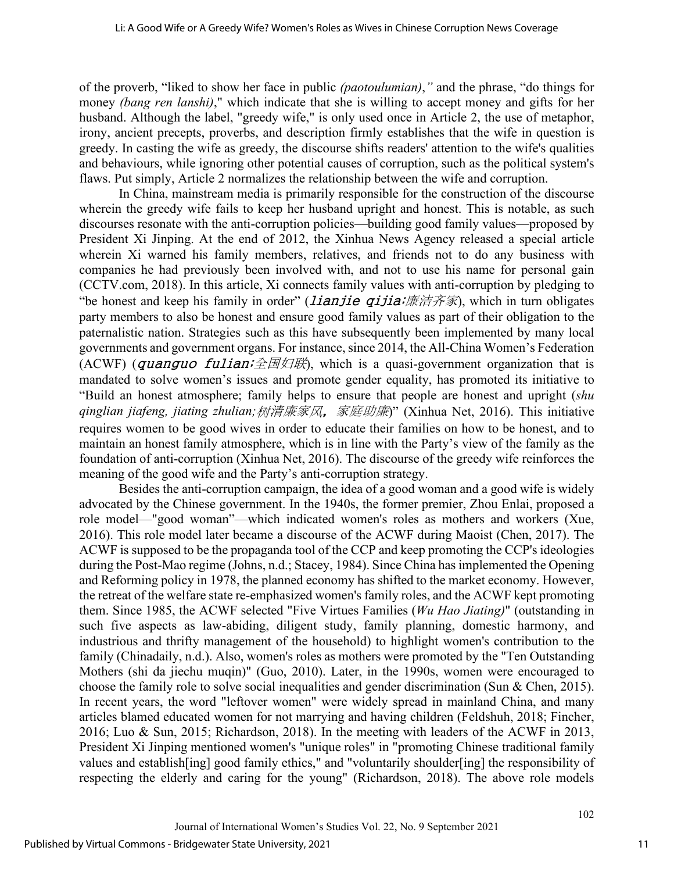of the proverb, "liked to show her face in public *(paotoulumian)*,*"* and the phrase, "do things for money *(bang ren lanshi)*," which indicate that she is willing to accept money and gifts for her husband. Although the label, "greedy wife," is only used once in Article 2, the use of metaphor, irony, ancient precepts, proverbs, and description firmly establishes that the wife in question is greedy. In casting the wife as greedy, the discourse shifts readers' attention to the wife's qualities and behaviours, while ignoring other potential causes of corruption, such as the political system's flaws. Put simply, Article 2 normalizes the relationship between the wife and corruption.

In China, mainstream media is primarily responsible for the construction of the discourse wherein the greedy wife fails to keep her husband upright and honest. This is notable, as such discourses resonate with the anti-corruption policies—building good family values—proposed by President Xi Jinping. At the end of 2012, the Xinhua News Agency released a special article wherein Xi warned his family members, relatives, and friends not to do any business with companies he had previously been involved with, and not to use his name for personal gain (CCTV.com, 2018). In this article, Xi connects family values with anti-corruption by pledging to "be honest and keep his family in order" *(lianjie qijia;廉洁齐家*), which in turn obligates party members to also be honest and ensure good family values as part of their obligation to the paternalistic nation. Strategies such as this have subsequently been implemented by many local governments and government organs. For instance, since 2014, the All-China Women's Federation (ACWF) (quanguo fulian;  $\triangle$   $\mathbb{Z}$   $\boxtimes$   $\mathbb{Z}$ ), which is a quasi-government organization that is mandated to solve women's issues and promote gender equality, has promoted its initiative to "Build an honest atmosphere; family helps to ensure that people are honest and upright (*shu qinglian jiafeng, jiating zhulian;*树清廉家风,家庭助廉)" (Xinhua Net, 2016). This initiative requires women to be good wives in order to educate their families on how to be honest, and to maintain an honest family atmosphere, which is in line with the Party's view of the family as the foundation of anti-corruption (Xinhua Net, 2016). The discourse of the greedy wife reinforces the meaning of the good wife and the Party's anti-corruption strategy.

Besides the anti-corruption campaign, the idea of a good woman and a good wife is widely advocated by the Chinese government. In the 1940s, the former premier, Zhou Enlai, proposed a role model—"good woman"—which indicated women's roles as mothers and workers (Xue, 2016). This role model later became a discourse of the ACWF during Maoist (Chen, 2017). The ACWF is supposed to be the propaganda tool of the CCP and keep promoting the CCP's ideologies during the Post-Mao regime (Johns, n.d.; Stacey, 1984). Since China has implemented the Opening and Reforming policy in 1978, the planned economy has shifted to the market economy. However, the retreat of the welfare state re-emphasized women's family roles, and the ACWF kept promoting them. Since 1985, the ACWF selected "Five Virtues Families (*Wu Hao Jiating)*" (outstanding in such five aspects as law-abiding, diligent study, family planning, domestic harmony, and industrious and thrifty management of the household) to highlight women's contribution to the family (Chinadaily, n.d.). Also, women's roles as mothers were promoted by the "Ten Outstanding Mothers (shi da jiechu muqin)" (Guo, 2010). Later, in the 1990s, women were encouraged to choose the family role to solve social inequalities and gender discrimination (Sun & Chen, 2015). In recent years, the word "leftover women" were widely spread in mainland China, and many articles blamed educated women for not marrying and having children (Feldshuh, 2018; Fincher, 2016; Luo & Sun, 2015; Richardson, 2018). In the meeting with leaders of the ACWF in 2013, President Xi Jinping mentioned women's "unique roles" in "promoting Chinese traditional family values and establish[ing] good family ethics," and "voluntarily shoulder[ing] the responsibility of respecting the elderly and caring for the young" (Richardson, 2018). The above role models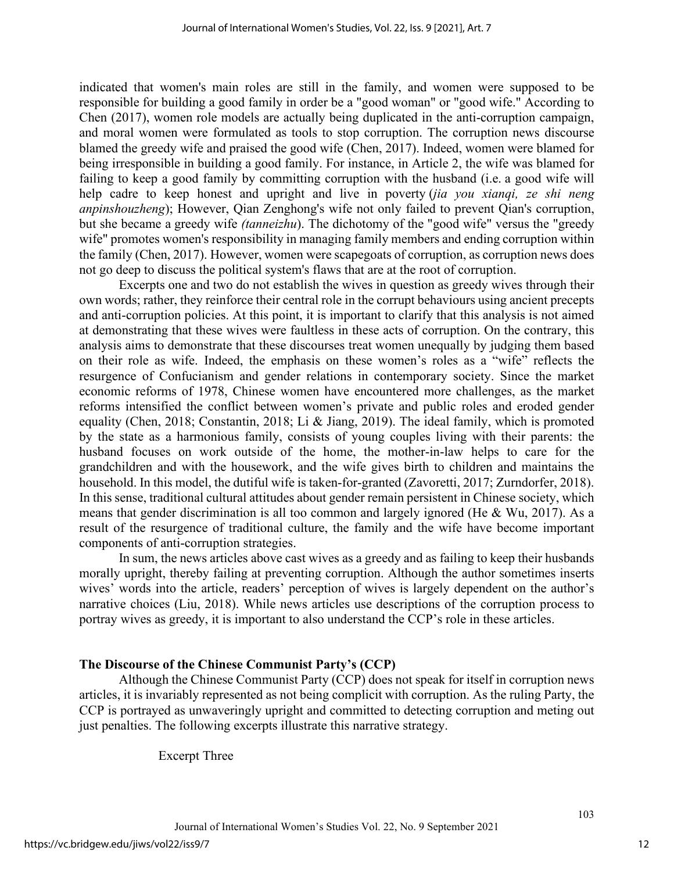indicated that women's main roles are still in the family, and women were supposed to be responsible for building a good family in order be a "good woman" or "good wife." According to Chen (2017), women role models are actually being duplicated in the anti-corruption campaign, and moral women were formulated as tools to stop corruption. The corruption news discourse blamed the greedy wife and praised the good wife (Chen, 2017). Indeed, women were blamed for being irresponsible in building a good family. For instance, in Article 2, the wife was blamed for failing to keep a good family by committing corruption with the husband (i.e. a good wife will help cadre to keep honest and upright and live in poverty (*jia you xianqi, ze shi neng anpinshouzheng*); However, Qian Zenghong's wife not only failed to prevent Qian's corruption, but she became a greedy wife *(tanneizhu*). The dichotomy of the "good wife" versus the "greedy wife" promotes women's responsibility in managing family members and ending corruption within the family (Chen, 2017). However, women were scapegoats of corruption, as corruption news does not go deep to discuss the political system's flaws that are at the root of corruption.

Excerpts one and two do not establish the wives in question as greedy wives through their own words; rather, they reinforce their central role in the corrupt behaviours using ancient precepts and anti-corruption policies. At this point, it is important to clarify that this analysis is not aimed at demonstrating that these wives were faultless in these acts of corruption. On the contrary, this analysis aims to demonstrate that these discourses treat women unequally by judging them based on their role as wife. Indeed, the emphasis on these women's roles as a "wife" reflects the resurgence of Confucianism and gender relations in contemporary society. Since the market economic reforms of 1978, Chinese women have encountered more challenges, as the market reforms intensified the conflict between women's private and public roles and eroded gender equality (Chen, 2018; Constantin, 2018; Li & Jiang, 2019). The ideal family, which is promoted by the state as a harmonious family, consists of young couples living with their parents: the husband focuses on work outside of the home, the mother-in-law helps to care for the grandchildren and with the housework, and the wife gives birth to children and maintains the household. In this model, the dutiful wife is taken-for-granted (Zavoretti, 2017; Zurndorfer, 2018). In this sense, traditional cultural attitudes about gender remain persistent in Chinese society, which means that gender discrimination is all too common and largely ignored (He & Wu, 2017). As a result of the resurgence of traditional culture, the family and the wife have become important components of anti-corruption strategies.

In sum, the news articles above cast wives as a greedy and as failing to keep their husbands morally upright, thereby failing at preventing corruption. Although the author sometimes inserts wives' words into the article, readers' perception of wives is largely dependent on the author's narrative choices (Liu, 2018). While news articles use descriptions of the corruption process to portray wives as greedy, it is important to also understand the CCP's role in these articles.

#### **The Discourse of the Chinese Communist Party's (CCP)**

Although the Chinese Communist Party (CCP) does not speak for itself in corruption news articles, it is invariably represented as not being complicit with corruption. As the ruling Party, the CCP is portrayed as unwaveringly upright and committed to detecting corruption and meting out just penalties. The following excerpts illustrate this narrative strategy.

Excerpt Three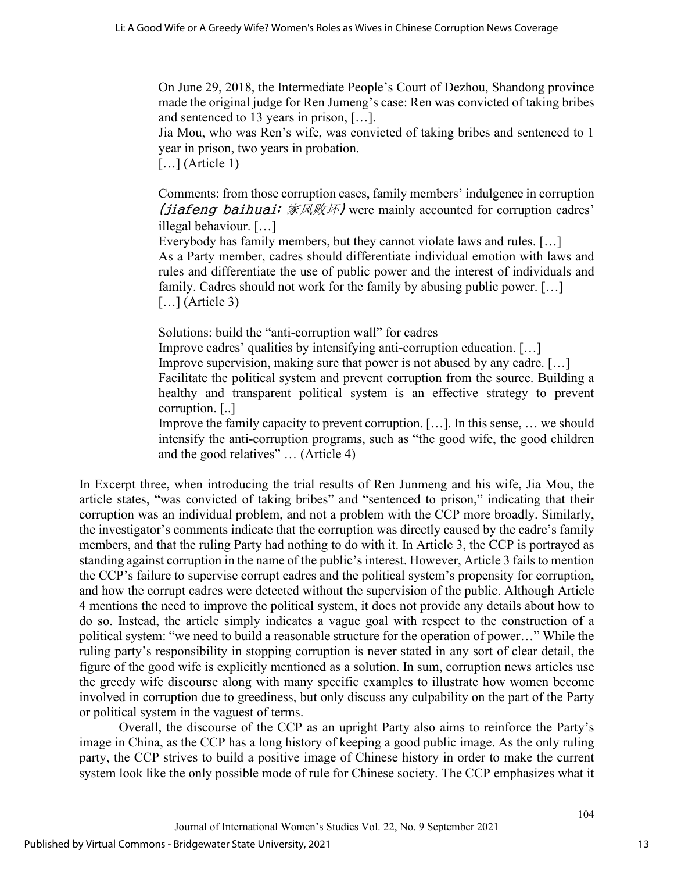On June 29, 2018, the Intermediate People's Court of Dezhou, Shandong province made the original judge for Ren Jumeng's case: Ren was convicted of taking bribes and sentenced to 13 years in prison, […].

Jia Mou, who was Ren's wife, was convicted of taking bribes and sentenced to 1 year in prison, two years in probation.

 $\left[ \ldots \right]$  (Article 1)

Comments: from those corruption cases, family members' indulgence in corruption (*jiafeng baihuai*;  $\bar{\mathcal{R}}\mathbb{R}\mathbb{W}$ *H*) were mainly accounted for corruption cadres' illegal behaviour. […]

Everybody has family members, but they cannot violate laws and rules. […] As a Party member, cadres should differentiate individual emotion with laws and rules and differentiate the use of public power and the interest of individuals and family. Cadres should not work for the family by abusing public power. […]  $\left[\ldots\right]$  (Article 3)

Solutions: build the "anti-corruption wall" for cadres

Improve cadres' qualities by intensifying anti-corruption education. […]

Improve supervision, making sure that power is not abused by any cadre. […]

Facilitate the political system and prevent corruption from the source. Building a healthy and transparent political system is an effective strategy to prevent corruption. [..]

Improve the family capacity to prevent corruption. […]. In this sense, … we should intensify the anti-corruption programs, such as "the good wife, the good children and the good relatives" … (Article 4)

In Excerpt three, when introducing the trial results of Ren Junmeng and his wife, Jia Mou, the article states, "was convicted of taking bribes" and "sentenced to prison," indicating that their corruption was an individual problem, and not a problem with the CCP more broadly. Similarly, the investigator's comments indicate that the corruption was directly caused by the cadre's family members, and that the ruling Party had nothing to do with it. In Article 3, the CCP is portrayed as standing against corruption in the name of the public's interest. However, Article 3 fails to mention the CCP's failure to supervise corrupt cadres and the political system's propensity for corruption, and how the corrupt cadres were detected without the supervision of the public. Although Article 4 mentions the need to improve the political system, it does not provide any details about how to do so. Instead, the article simply indicates a vague goal with respect to the construction of a political system: "we need to build a reasonable structure for the operation of power…" While the ruling party's responsibility in stopping corruption is never stated in any sort of clear detail, the figure of the good wife is explicitly mentioned as a solution. In sum, corruption news articles use the greedy wife discourse along with many specific examples to illustrate how women become involved in corruption due to greediness, but only discuss any culpability on the part of the Party or political system in the vaguest of terms.

Overall, the discourse of the CCP as an upright Party also aims to reinforce the Party's image in China, as the CCP has a long history of keeping a good public image. As the only ruling party, the CCP strives to build a positive image of Chinese history in order to make the current system look like the only possible mode of rule for Chinese society. The CCP emphasizes what it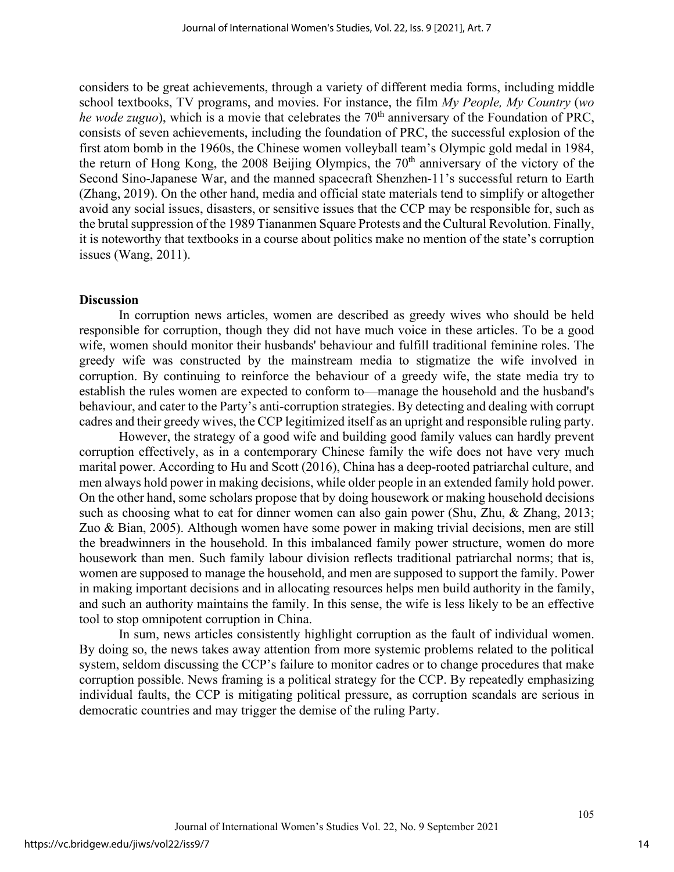considers to be great achievements, through a variety of different media forms, including middle school textbooks, TV programs, and movies. For instance, the film *My People, My Country* (*wo he wode zuguo*), which is a movie that celebrates the 70<sup>th</sup> anniversary of the Foundation of PRC, consists of seven achievements, including the foundation of PRC, the successful explosion of the first atom bomb in the 1960s, the Chinese women volleyball team's Olympic gold medal in 1984, the return of Hong Kong, the 2008 Beijing Olympics, the 70<sup>th</sup> anniversary of the victory of the Second Sino-Japanese War, and the manned spacecraft Shenzhen-11's successful return to Earth (Zhang, 2019). On the other hand, media and official state materials tend to simplify or altogether avoid any social issues, disasters, or sensitive issues that the CCP may be responsible for, such as the brutal suppression of the 1989 Tiananmen Square Protests and the Cultural Revolution. Finally, it is noteworthy that textbooks in a course about politics make no mention of the state's corruption issues (Wang, 2011).

#### **Discussion**

In corruption news articles, women are described as greedy wives who should be held responsible for corruption, though they did not have much voice in these articles. To be a good wife, women should monitor their husbands' behaviour and fulfill traditional feminine roles. The greedy wife was constructed by the mainstream media to stigmatize the wife involved in corruption. By continuing to reinforce the behaviour of a greedy wife, the state media try to establish the rules women are expected to conform to—manage the household and the husband's behaviour, and cater to the Party's anti-corruption strategies. By detecting and dealing with corrupt cadres and their greedy wives, the CCP legitimized itself as an upright and responsible ruling party.

However, the strategy of a good wife and building good family values can hardly prevent corruption effectively, as in a contemporary Chinese family the wife does not have very much marital power. According to Hu and Scott (2016), China has a deep-rooted patriarchal culture, and men always hold power in making decisions, while older people in an extended family hold power. On the other hand, some scholars propose that by doing housework or making household decisions such as choosing what to eat for dinner women can also gain power (Shu, Zhu, & Zhang, 2013; Zuo & Bian, 2005). Although women have some power in making trivial decisions, men are still the breadwinners in the household. In this imbalanced family power structure, women do more housework than men. Such family labour division reflects traditional patriarchal norms; that is, women are supposed to manage the household, and men are supposed to support the family. Power in making important decisions and in allocating resources helps men build authority in the family, and such an authority maintains the family. In this sense, the wife is less likely to be an effective tool to stop omnipotent corruption in China.

In sum, news articles consistently highlight corruption as the fault of individual women. By doing so, the news takes away attention from more systemic problems related to the political system, seldom discussing the CCP's failure to monitor cadres or to change procedures that make corruption possible. News framing is a political strategy for the CCP. By repeatedly emphasizing individual faults, the CCP is mitigating political pressure, as corruption scandals are serious in democratic countries and may trigger the demise of the ruling Party.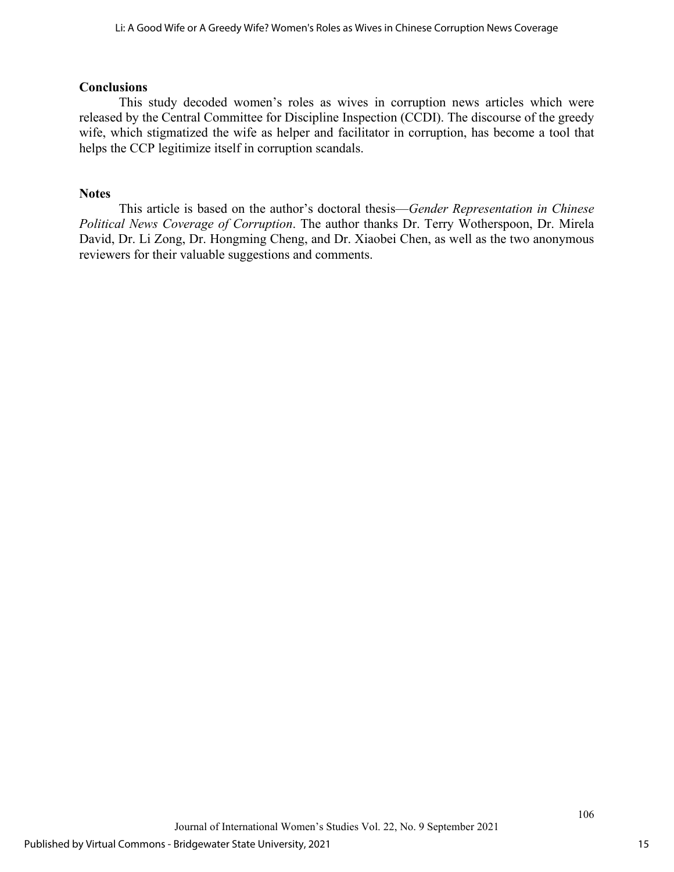## **Conclusions**

This study decoded women's roles as wives in corruption news articles which were released by the Central Committee for Discipline Inspection (CCDI). The discourse of the greedy wife, which stigmatized the wife as helper and facilitator in corruption, has become a tool that helps the CCP legitimize itself in corruption scandals.

## **Notes**

This article is based on the author's doctoral thesis—*Gender Representation in Chinese Political News Coverage of Corruption*. The author thanks Dr. Terry Wotherspoon, Dr. Mirela David, Dr. Li Zong, Dr. Hongming Cheng, and Dr. Xiaobei Chen, as well as the two anonymous reviewers for their valuable suggestions and comments.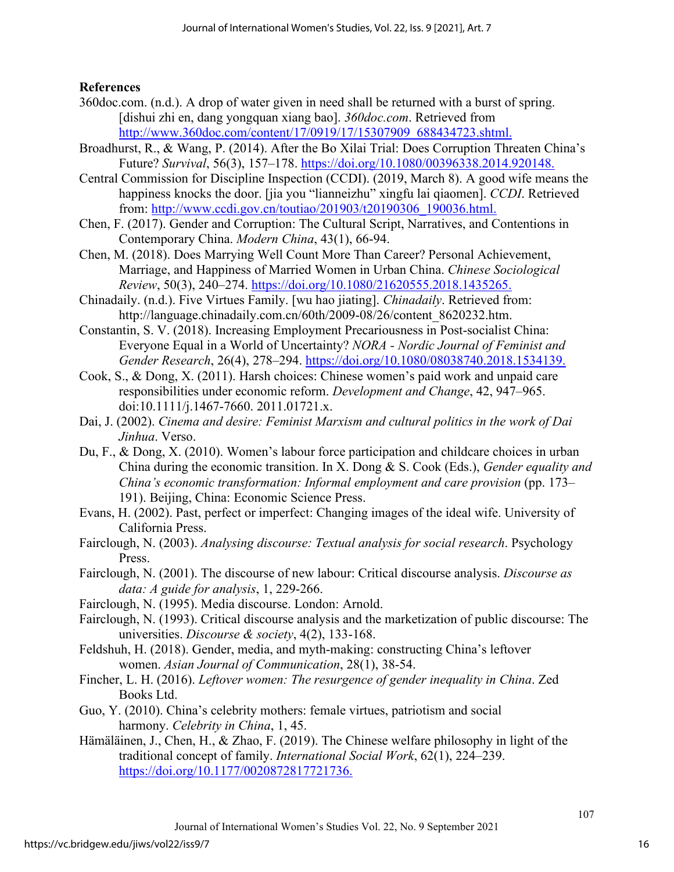## **References**

- 360doc.com. (n.d.). A drop of water given in need shall be returned with a burst of spring. [dishui zhi en, dang yongquan xiang bao]. *360doc.com*. Retrieved from [http://www.360doc.com/content/17/0919/17/15307909\\_688434723.shtml.](http://www.360doc.com/content/17/0919/17/15307909_688434723.shtml)
- Broadhurst, R., & Wang, P. (2014). After the Bo Xilai Trial: Does Corruption Threaten China's Future? *Survival*, 56(3), 157–178. [https://doi.org/10.1080/00396338.2014.920148.](https://doi.org/10.1080/00396338.2014.920148)
- Central Commission for Discipline Inspection (CCDI). (2019, March 8). A good wife means the happiness knocks the door. [jia you "lianneizhu" xingfu lai qiaomen]. *CCDI*. Retrieved from: [http://www.ccdi.gov.cn/toutiao/201903/t20190306\\_190036.html.](http://www.ccdi.gov.cn/toutiao/201903/t20190306_190036.html)
- Chen, F. (2017). Gender and Corruption: The Cultural Script, Narratives, and Contentions in Contemporary China. *Modern China*, 43(1), 66-94.
- Chen, M. (2018). Does Marrying Well Count More Than Career? Personal Achievement, Marriage, and Happiness of Married Women in Urban China. *Chinese Sociological Review*, 50(3), 240–274. [https://doi.org/10.1080/21620555.2018.1435265.](https://doi.org/10.1080/21620555.2018.1435265)
- Chinadaily. (n.d.). Five Virtues Family. [wu hao jiating]. *Chinadaily*. Retrieved from: http://language.chinadaily.com.cn/60th/2009-08/26/content\_8620232.htm.
- Constantin, S. V. (2018). Increasing Employment Precariousness in Post-socialist China: Everyone Equal in a World of Uncertainty? *NORA - Nordic Journal of Feminist and Gender Research*, 26(4), 278–294. [https://doi.org/10.1080/08038740.2018.1534139.](https://doi.org/10.1080/08038740.2018.1534139)
- Cook, S., & Dong, X. (2011). Harsh choices: Chinese women's paid work and unpaid care responsibilities under economic reform. *Development and Change*, 42, 947–965. doi:10.1111/j.1467-7660. 2011.01721.x.
- Dai, J. (2002). *Cinema and desire: Feminist Marxism and cultural politics in the work of Dai Jinhua*. Verso.
- Du, F., & Dong, X. (2010). Women's labour force participation and childcare choices in urban China during the economic transition. In X. Dong & S. Cook (Eds.), *Gender equality and China's economic transformation: Informal employment and care provision* (pp. 173– 191). Beijing, China: Economic Science Press.
- Evans, H. (2002). Past, perfect or imperfect: Changing images of the ideal wife. University of California Press.
- Fairclough, N. (2003). *Analysing discourse: Textual analysis for social research*. Psychology Press.
- Fairclough, N. (2001). The discourse of new labour: Critical discourse analysis. *Discourse as data: A guide for analysis*, 1, 229-266.
- Fairclough, N. (1995). Media discourse. London: Arnold.
- Fairclough, N. (1993). Critical discourse analysis and the marketization of public discourse: The universities. *Discourse & society*, 4(2), 133-168.
- Feldshuh, H. (2018). Gender, media, and myth-making: constructing China's leftover women. *Asian Journal of Communication*, 28(1), 38-54.
- Fincher, L. H. (2016). *Leftover women: The resurgence of gender inequality in China*. Zed Books Ltd.
- Guo, Y. (2010). China's celebrity mothers: female virtues, patriotism and social harmony. *Celebrity in China*, 1, 45.
- Hämäläinen, J., Chen, H., & Zhao, F. (2019). The Chinese welfare philosophy in light of the traditional concept of family. *International Social Work*, 62(1), 224–239. [https://doi.org/10.1177/0020872817721736.](https://doi.org/10.1177/0020872817721736)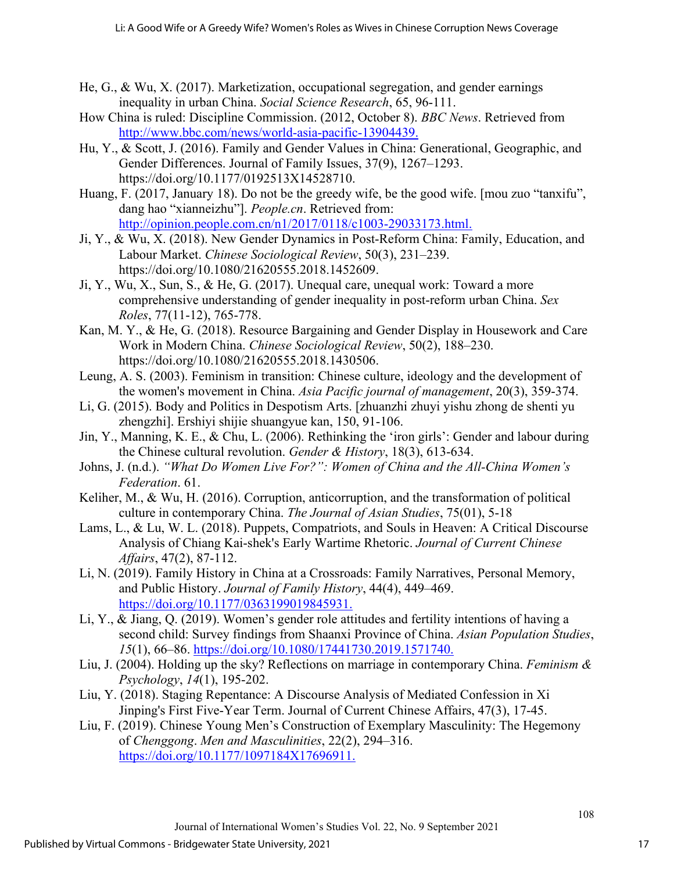- He, G., & Wu, X. (2017). Marketization, occupational segregation, and gender earnings inequality in urban China. *Social Science Research*, 65, 96-111.
- How China is ruled: Discipline Commission. (2012, October 8). *BBC News*. Retrieved from [http://www.bbc.com/news/world-asia-pacific-13904439.](http://www.bbc.com/news/world-asia-pacific-13904439)
- Hu, Y., & Scott, J. (2016). Family and Gender Values in China: Generational, Geographic, and Gender Differences. Journal of Family Issues, 37(9), 1267–1293. https://doi.org/10.1177/0192513X14528710.
- Huang, F. (2017, January 18). Do not be the greedy wife, be the good wife. [mou zuo "tanxifu", dang hao "xianneizhu"]. *People.cn*. Retrieved from: [http://opinion.people.com.cn/n1/2017/0118/c1003-29033173.html.](http://opinion.people.com.cn/n1/2017/0118/c1003-29033173.html)
- Ji, Y., & Wu, X. (2018). New Gender Dynamics in Post-Reform China: Family, Education, and Labour Market. *Chinese Sociological Review*, 50(3), 231–239. https://doi.org/10.1080/21620555.2018.1452609.
- Ji, Y., Wu, X., Sun, S., & He, G. (2017). Unequal care, unequal work: Toward a more comprehensive understanding of gender inequality in post-reform urban China. *Sex Roles*, 77(11-12), 765-778.
- Kan, M. Y., & He, G. (2018). Resource Bargaining and Gender Display in Housework and Care Work in Modern China. *Chinese Sociological Review*, 50(2), 188–230. https://doi.org/10.1080/21620555.2018.1430506.
- Leung, A. S. (2003). Feminism in transition: Chinese culture, ideology and the development of the women's movement in China. *Asia Pacific journal of management*, 20(3), 359-374.
- Li, G. (2015). Body and Politics in Despotism Arts. [zhuanzhi zhuyi yishu zhong de shenti yu zhengzhi]. Ershiyi shijie shuangyue kan, 150, 91-106.
- Jin, Y., Manning, K. E., & Chu, L. (2006). Rethinking the 'iron girls': Gender and labour during the Chinese cultural revolution. *Gender & History*, 18(3), 613-634.
- Johns, J. (n.d.). *"What Do Women Live For?": Women of China and the All-China Women's Federation*. 61.
- Keliher, M., & Wu, H. (2016). Corruption, anticorruption, and the transformation of political culture in contemporary China. *The Journal of Asian Studies*, 75(01), 5-18
- Lams, L., & Lu, W. L. (2018). Puppets, Compatriots, and Souls in Heaven: A Critical Discourse Analysis of Chiang Kai-shek's Early Wartime Rhetoric. *Journal of Current Chinese Affairs*, 47(2), 87-112.
- Li, N. (2019). Family History in China at a Crossroads: Family Narratives, Personal Memory, and Public History. *Journal of Family History*, 44(4), 449–469. [https://doi.org/10.1177/0363199019845931.](https://doi.org/10.1177/0363199019845931)
- Li, Y., & Jiang, Q. (2019). Women's gender role attitudes and fertility intentions of having a second child: Survey findings from Shaanxi Province of China. *Asian Population Studies*, *15*(1), 66–86. [https://doi.org/10.1080/17441730.2019.1571740.](https://doi.org/10.1080/17441730.2019.1571740)
- Liu, J. (2004). Holding up the sky? Reflections on marriage in contemporary China. *Feminism & Psychology*, *14*(1), 195-202.
- Liu, Y. (2018). Staging Repentance: A Discourse Analysis of Mediated Confession in Xi Jinping's First Five-Year Term. Journal of Current Chinese Affairs, 47(3), 17-45.
- Liu, F. (2019). Chinese Young Men's Construction of Exemplary Masculinity: The Hegemony of *Chenggong*. *Men and Masculinities*, 22(2), 294–316. [https://doi.org/10.1177/1097184X17696911.](https://doi.org/10.1177/1097184X17696911)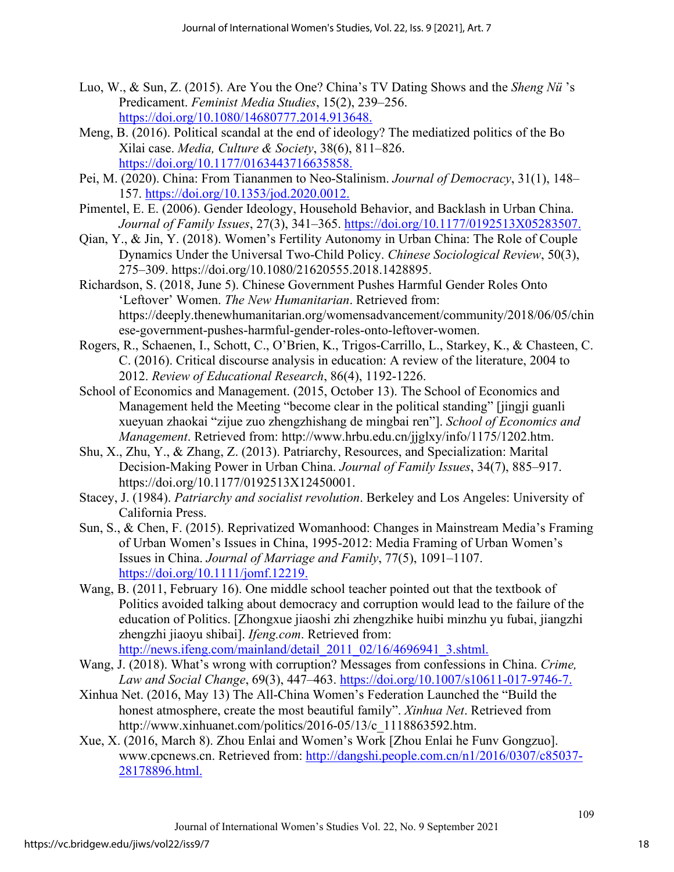- Luo, W., & Sun, Z. (2015). Are You the One? China's TV Dating Shows and the *Sheng Nü* 's Predicament. *Feminist Media Studies*, 15(2), 239–256. [https://doi.org/10.1080/14680777.2014.913648.](https://doi.org/10.1080/14680777.2014.913648)
- Meng, B. (2016). Political scandal at the end of ideology? The mediatized politics of the Bo Xilai case. *Media, Culture & Society*, 38(6), 811–826. [https://doi.org/10.1177/0163443716635858.](https://doi.org/10.1177/0163443716635858)
- Pei, M. (2020). China: From Tiananmen to Neo-Stalinism. *Journal of Democracy*, 31(1), 148– 157. [https://doi.org/10.1353/jod.2020.0012.](https://doi.org/10.1353/jod.2020.0012)
- Pimentel, E. E. (2006). Gender Ideology, Household Behavior, and Backlash in Urban China. *Journal of Family Issues*, 27(3), 341–365. [https://doi.org/10.1177/0192513X05283507.](https://doi.org/10.1177/0192513X05283507)
- Qian, Y., & Jin, Y. (2018). Women's Fertility Autonomy in Urban China: The Role of Couple Dynamics Under the Universal Two-Child Policy. *Chinese Sociological Review*, 50(3), 275–309. https://doi.org/10.1080/21620555.2018.1428895.
- Richardson, S. (2018, June 5). Chinese Government Pushes Harmful Gender Roles Onto 'Leftover' Women. *The New Humanitarian*. Retrieved from: https://deeply.thenewhumanitarian.org/womensadvancement/community/2018/06/05/chin ese-government-pushes-harmful-gender-roles-onto-leftover-women.
- Rogers, R., Schaenen, I., Schott, C., O'Brien, K., Trigos-Carrillo, L., Starkey, K., & Chasteen, C. C. (2016). Critical discourse analysis in education: A review of the literature, 2004 to 2012. *Review of Educational Research*, 86(4), 1192-1226.
- School of Economics and Management. (2015, October 13). The School of Economics and Management held the Meeting "become clear in the political standing" [jingji guanli xueyuan zhaokai "zijue zuo zhengzhishang de mingbai ren"]. *School of Economics and Management*. Retrieved from: http://www.hrbu.edu.cn/jjglxy/info/1175/1202.htm.
- Shu, X., Zhu, Y., & Zhang, Z. (2013). Patriarchy, Resources, and Specialization: Marital Decision-Making Power in Urban China. *Journal of Family Issues*, 34(7), 885–917. https://doi.org/10.1177/0192513X12450001.
- Stacey, J. (1984). *Patriarchy and socialist revolution*. Berkeley and Los Angeles: University of California Press.
- Sun, S., & Chen, F. (2015). Reprivatized Womanhood: Changes in Mainstream Media's Framing of Urban Women's Issues in China, 1995-2012: Media Framing of Urban Women's Issues in China. *Journal of Marriage and Family*, 77(5), 1091–1107. [https://doi.org/10.1111/jomf.12219.](https://doi.org/10.1111/jomf.12219)
- Wang, B. (2011, February 16). One middle school teacher pointed out that the textbook of Politics avoided talking about democracy and corruption would lead to the failure of the education of Politics. [Zhongxue jiaoshi zhi zhengzhike huibi minzhu yu fubai, jiangzhi zhengzhi jiaoyu shibai]. *Ifeng.com*. Retrieved from: http://news.ifeng.com/mainland/detail 2011 02/16/4696941 3.shtml.
- Wang, J. (2018). What's wrong with corruption? Messages from confessions in China. *Crime, Law and Social Change*, 69(3), 447–463. [https://doi.org/10.1007/s10611-017-9746-7.](https://doi.org/10.1007/s10611-017-9746-7)
- Xinhua Net. (2016, May 13) The All-China Women's Federation Launched the "Build the honest atmosphere, create the most beautiful family". *Xinhua Net*. Retrieved from http://www.xinhuanet.com/politics/2016-05/13/c\_1118863592.htm.
- Xue, X. (2016, March 8). Zhou Enlai and Women's Work [Zhou Enlai he Funv Gongzuo]. www.cpcnews.cn. Retrieved from: [http://dangshi.people.com.cn/n1/2016/0307/c85037-](http://dangshi.people.com.cn/n1/2016/0307/c85037-28178896.html) [28178896.html.](http://dangshi.people.com.cn/n1/2016/0307/c85037-28178896.html)